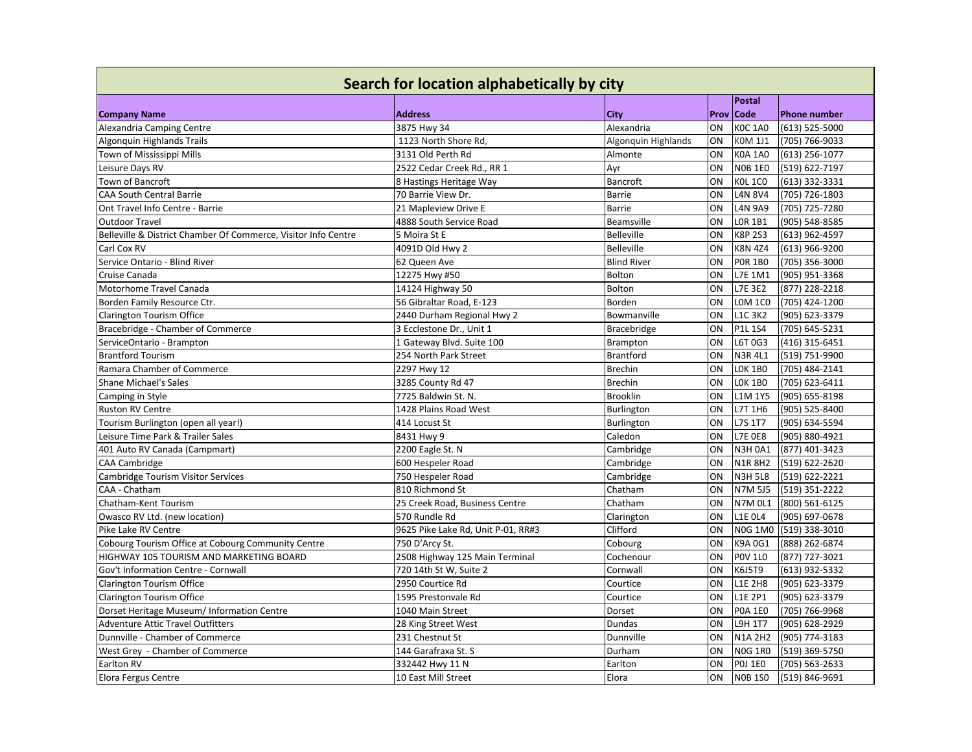| Search for location alphabetically by city                     |                                    |                     |      |                |                     |
|----------------------------------------------------------------|------------------------------------|---------------------|------|----------------|---------------------|
|                                                                |                                    |                     |      | <b>Postal</b>  |                     |
| <b>Company Name</b>                                            | <b>Address</b>                     | City                | Prov | <b>Code</b>    | <b>Phone number</b> |
| Alexandria Camping Centre                                      | 3875 Hwy 34                        | Alexandria          | ON   | <b>KOC 1A0</b> | $(613)$ 525-5000    |
| Algonquin Highlands Trails                                     | 1123 North Shore Rd,               | Algonquin Highlands | ON   | <b>KOM 1J1</b> | (705) 766-9033      |
| Town of Mississippi Mills                                      | 3131 Old Perth Rd                  | Almonte             | ON   | <b>KOA 1A0</b> | $(613)$ 256-1077    |
| Leisure Days RV                                                | 2522 Cedar Creek Rd., RR 1         | Ayr                 | ON   | <b>NOB 1E0</b> | (519) 622-7197      |
| Town of Bancroft                                               | 8 Hastings Heritage Way            | Bancroft            | ON   | <b>KOL 1CO</b> | (613) 332-3331      |
| <b>CAA South Central Barrie</b>                                | 70 Barrie View Dr.                 | <b>Barrie</b>       | ON   | <b>L4N 8V4</b> | (705) 726-1803      |
| Ont Travel Info Centre - Barrie                                | 21 Mapleview Drive E               | <b>Barrie</b>       | ON   | <b>L4N 9A9</b> | (705) 725-7280      |
| <b>Outdoor Travel</b>                                          | 4888 South Service Road            | Beamsville          | ON   | <b>LOR 1B1</b> | (905) 548-8585      |
| Belleville & District Chamber Of Commerce, Visitor Info Centre | 5 Moira St E                       | <b>Belleville</b>   | ON   | K8P 2S3        | (613) 962-4597      |
| Carl Cox RV                                                    | 4091D Old Hwy 2                    | <b>Belleville</b>   | ON   | <b>K8N 4Z4</b> | (613) 966-9200      |
| Service Ontario - Blind River                                  | 62 Queen Ave                       | <b>Blind River</b>  | ON   | <b>POR 1BO</b> | (705) 356-3000      |
| Cruise Canada                                                  | 12275 Hwy #50                      | Bolton              | ON   | L7E 1M1        | (905) 951-3368      |
| Motorhome Travel Canada                                        | 14124 Highway 50                   | Bolton              | ON   | L7E 3E2        | (877) 228-2218      |
| Borden Family Resource Ctr.                                    | 56 Gibraltar Road, E-123           | Borden              | ON   | <b>LOM 1CO</b> | (705) 424-1200      |
| Clarington Tourism Office                                      | 2440 Durham Regional Hwy 2         | Bowmanville         | ON   | <b>L1C 3K2</b> | (905) 623-3379      |
| Bracebridge - Chamber of Commerce                              | 3 Ecclestone Dr., Unit 1           | <b>Bracebridge</b>  | ON   | P1L 1S4        | (705) 645-5231      |
| ServiceOntario - Brampton                                      | 1 Gateway Blvd. Suite 100          | <b>Brampton</b>     | ON   | L6T 0G3        | (416) 315-6451      |
| <b>Brantford Tourism</b>                                       | 254 North Park Street              | <b>Brantford</b>    | ON   | <b>N3R4L1</b>  | (519) 751-9900      |
| Ramara Chamber of Commerce                                     | 2297 Hwy 12                        | <b>Brechin</b>      | ON   | <b>LOK 1BO</b> | (705) 484-2141      |
| <b>Shane Michael's Sales</b>                                   | 3285 County Rd 47                  | <b>Brechin</b>      | ON   | <b>LOK 1BO</b> | (705) 623-6411      |
| Camping in Style                                               | 7725 Baldwin St. N.                | <b>Brooklin</b>     | ON   | <b>L1M 1Y5</b> | (905) 655-8198      |
| Ruston RV Centre                                               | 1428 Plains Road West              | Burlington          | ON   | L7T 1H6        | (905) 525-8400      |
| Tourism Burlington (open all year!)                            | 414 Locust St                      | Burlington          | ON   | L7S 1T7        | (905) 634-5594      |
| Leisure Time Park & Trailer Sales                              | 8431 Hwy 9                         | Caledon             | ON   | <b>L7E 0E8</b> | (905) 880-4921      |
| 401 Auto RV Canada (Campmart)                                  | 2200 Eagle St. N                   | Cambridge           | ON   | <b>N3H 0A1</b> | (877) 401-3423      |
| <b>CAA Cambridge</b>                                           | 600 Hespeler Road                  | Cambridge           | ON   | <b>N1R8H2</b>  | (519) 622-2620      |
| Cambridge Tourism Visitor Services                             | 750 Hespeler Road                  | Cambridge           | ON   | <b>N3H 5L8</b> | (519) 622-2221      |
| CAA - Chatham                                                  | 810 Richmond St                    | Chatham             | ON   | N7M 5J5        | (519) 351-2222      |
| Chatham-Kent Tourism                                           | 25 Creek Road, Business Centre     | Chatham             | ON   | <b>N7M 0L1</b> | (800) 561-6125      |
| Owasco RV Ltd. (new location)                                  | 570 Rundle Rd                      | Clarington          | ON   | <b>L1E OL4</b> | (905) 697-0678      |
| Pike Lake RV Centre                                            | 9625 Pike Lake Rd, Unit P-01, RR#3 | Clifford            | ON   | <b>N0G 1M0</b> | (519) 338-3010      |
| Cobourg Tourism Office at Cobourg Community Centre             | 750 D'Arcy St.                     | Cobourg             | ON   | K9A 0G1        | (888) 262-6874      |
| HIGHWAY 105 TOURISM AND MARKETING BOARD                        | 2508 Highway 125 Main Terminal     | Cochenour           | ON   | <b>POV 1L0</b> | (877) 727-3021      |
| Gov't Information Centre - Cornwall                            | 720 14th St W, Suite 2             | Cornwall            | ON   | K6J5T9         | (613) 932-5332      |
| Clarington Tourism Office                                      | 2950 Courtice Rd                   | Courtice            | ON   | <b>L1E 2H8</b> | (905) 623-3379      |
| Clarington Tourism Office                                      | 1595 Prestonvale Rd                | Courtice            | ON   | L1E 2P1        | (905) 623-3379      |
| Dorset Heritage Museum/ Information Centre                     | 1040 Main Street                   | Dorset              | ON   | <b>POA 1E0</b> | (705) 766-9968      |
| Adventure Attic Travel Outfitters                              | 28 King Street West                | Dundas              | ON   | L9H 1T7        | (905) 628-2929      |
| Dunnville - Chamber of Commerce                                | 231 Chestnut St                    | Dunnville           | ON   | <b>N1A 2H2</b> | (905) 774-3183      |
| West Grey - Chamber of Commerce                                | 144 Garafraxa St. S                | Durham              | ON   | <b>NOG 1RO</b> | (519) 369-5750      |
| Earlton RV                                                     | 332442 Hwy 11 N                    | Earlton             | ON   | <b>POJ 1EO</b> | (705) 563-2633      |
| Elora Fergus Centre                                            | 10 East Mill Street                | Elora               | ON   | <b>NOB 1SO</b> | (519) 846-9691      |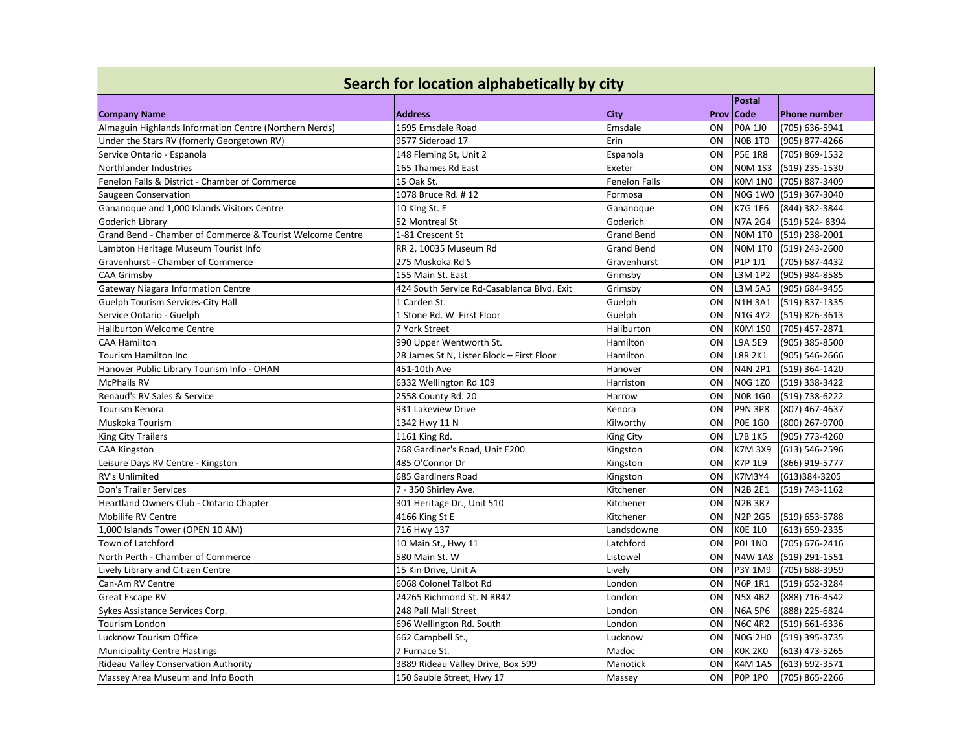| Search for location alphabetically by city                |                                            |                      |      |                |                        |
|-----------------------------------------------------------|--------------------------------------------|----------------------|------|----------------|------------------------|
|                                                           |                                            |                      |      | Postal         |                        |
| <b>Company Name</b>                                       | <b>Address</b>                             | City                 | Prov | <b>Code</b>    | Phone number           |
| Almaguin Highlands Information Centre (Northern Nerds)    | 1695 Emsdale Road                          | Emsdale              | ON   | <b>POA 1JO</b> | (705) 636-5941         |
| Under the Stars RV (fomerly Georgetown RV)                | 9577 Sideroad 17                           | Erin                 | ON   | <b>NOB 1TO</b> | (905) 877-4266         |
| Service Ontario - Espanola                                | 148 Fleming St, Unit 2                     | Espanola             | ON   | <b>P5E 1R8</b> | (705) 869-1532         |
| Northlander Industries                                    | 165 Thames Rd East                         | Exeter               | ON   | <b>NOM 1S3</b> | (519) 235-1530         |
| Fenelon Falls & District - Chamber of Commerce            | 15 Oak St.                                 | <b>Fenelon Falls</b> | ON   | KOM 1NO        | (705) 887-3409         |
| Saugeen Conservation                                      | 1078 Bruce Rd. #12                         | Formosa              | ON   |                | NOG 1WO (519) 367-3040 |
| Gananoque and 1,000 Islands Visitors Centre               | 10 King St. E                              | Gananoque            | ON   | K7G 1E6        | (844) 382-3844         |
| Goderich Librarv                                          | 52 Montreal St                             | Goderich             | ON   | <b>N7A 2G4</b> | (519) 524-8394         |
| Grand Bend - Chamber of Commerce & Tourist Welcome Centre | 1-81 Crescent St                           | <b>Grand Bend</b>    | ON   | <b>NOM 1TO</b> | (519) 238-2001         |
| Lambton Heritage Museum Tourist Info                      | RR 2, 10035 Museum Rd                      | <b>Grand Bend</b>    | ON   | <b>NOM 1TO</b> | (519) 243-2600         |
| Gravenhurst - Chamber of Commerce                         | 275 Muskoka Rd S                           | Gravenhurst          | ON   | P1P 1J1        | (705) 687-4432         |
| <b>CAA Grimsby</b>                                        | 155 Main St. East                          | Grimsby              | ON   | L3M 1P2        | (905) 984-8585         |
| <b>Gateway Niagara Information Centre</b>                 | 424 South Service Rd-Casablanca Blvd. Exit | Grimsby              | ON   | L3M 5A5        | (905) 684-9455         |
| Guelph Tourism Services-City Hall                         | 1 Carden St.                               | Guelph               | ON   | <b>N1H 3A1</b> | (519) 837-1335         |
| Service Ontario - Guelph                                  | 1 Stone Rd. W First Floor                  | Guelph               | ON   | N1G 4Y2        | (519) 826-3613         |
| <b>Haliburton Welcome Centre</b>                          | 7 York Street                              | Haliburton           | ON   | <b>KOM 1SO</b> | (705) 457-2871         |
| <b>CAA Hamilton</b>                                       | 990 Upper Wentworth St.                    | Hamilton             | ON   | L9A 5E9        | (905) 385-8500         |
| Tourism Hamilton Inc                                      | 28 James St N, Lister Block - First Floor  | Hamilton             | ON   | L8R 2K1        | (905) 546-2666         |
| Hanover Public Library Tourism Info - OHAN                | 451-10th Ave                               | Hanover              | ON   | <b>N4N 2P1</b> | (519) 364-1420         |
| <b>McPhails RV</b>                                        | 6332 Wellington Rd 109                     | Harriston            | ON   | <b>N0G 1Z0</b> | (519) 338-3422         |
| Renaud's RV Sales & Service                               | 2558 County Rd. 20                         | Harrow               | ON   | <b>NOR 1GO</b> | (519) 738-6222         |
| Tourism Kenora                                            | 931 Lakeview Drive                         | Kenora               | ON   | <b>P9N 3P8</b> | (807) 467-4637         |
| Muskoka Tourism                                           | 1342 Hwy 11 N                              | Kilworthy            | ON   | <b>POE 1GO</b> | (800) 267-9700         |
| <b>King City Trailers</b>                                 | 1161 King Rd.                              | <b>King City</b>     | ON   | L7B 1K5        | (905) 773-4260         |
| <b>CAA Kingston</b>                                       | 768 Gardiner's Road, Unit E200             | Kingston             | ON   | <b>K7M 3X9</b> | (613) 546-2596         |
| Leisure Days RV Centre - Kingston                         | 485 O'Connor Dr                            | Kingston             | ON   | K7P 1L9        | (866) 919-5777         |
| RV's Unlimited                                            | 685 Gardiners Road                         | Kingston             | ON   | K7M3Y4         | (613)384-3205          |
| Don's Trailer Services                                    | 7 - 350 Shirley Ave.                       | Kitchener            | ON   | <b>N2B 2E1</b> | (519) 743-1162         |
| Heartland Owners Club - Ontario Chapter                   | 301 Heritage Dr., Unit 510                 | Kitchener            | ON   | <b>N2B 3R7</b> |                        |
| Mobilife RV Centre                                        | 4166 King St E                             | Kitchener            | ON   | <b>N2P 2G5</b> | (519) 653-5788         |
| 1,000 Islands Tower (OPEN 10 AM)                          | 716 Hwy 137                                | Landsdowne           | ON   | KOE 1LO        | (613) 659-2335         |
| Town of Latchford                                         | 10 Main St., Hwy 11                        | Latchford            | ON   | <b>POJ 1NO</b> | (705) 676-2416         |
| North Perth - Chamber of Commerce                         | 580 Main St. W                             | Listowel             | ON   | <b>N4W 1A8</b> | (519) 291-1551         |
| Lively Library and Citizen Centre                         | 15 Kin Drive, Unit A                       | Lively               | ON   | P3Y 1M9        | (705) 688-3959         |
| Can-Am RV Centre                                          | 6068 Colonel Talbot Rd                     | London               | ON   | N6P 1R1        | (519) 652-3284         |
| <b>Great Escape RV</b>                                    | 24265 Richmond St. N RR42                  | London               | ON   | N5X 4B2        | (888) 716-4542         |
| Sykes Assistance Services Corp.                           | 248 Pall Mall Street                       | London               | ON   | <b>N6A 5P6</b> | (888) 225-6824         |
| Tourism London                                            | 696 Wellington Rd. South                   | London               | ON   | <b>N6C 4R2</b> | (519) 661-6336         |
| Lucknow Tourism Office                                    | 662 Campbell St.,                          | Lucknow              | ON   | <b>NOG 2H0</b> | (519) 395-3735         |
| <b>Municipality Centre Hastings</b>                       | 7 Furnace St.                              | Madoc                | ON   | KOK 2KO        | (613) 473-5265         |
| <b>Rideau Valley Conservation Authority</b>               | 3889 Rideau Valley Drive, Box 599          | Manotick             | ON   | <b>K4M 1A5</b> | (613) 692-3571         |
| Massey Area Museum and Info Booth                         | 150 Sauble Street, Hwy 17                  | Massey               | ON   | <b>POP 1PO</b> | (705) 865-2266         |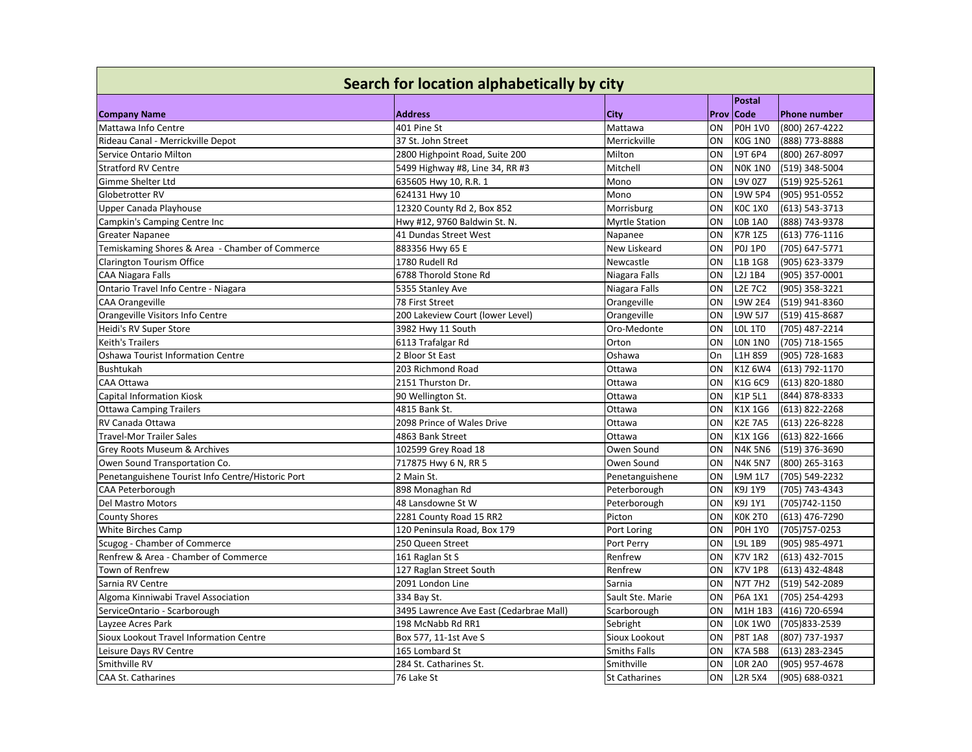| Search for location alphabetically by city        |                                         |                       |      |                |                     |
|---------------------------------------------------|-----------------------------------------|-----------------------|------|----------------|---------------------|
|                                                   |                                         |                       |      | <b>Postal</b>  |                     |
| <b>Company Name</b>                               | <b>Address</b>                          | City                  | Prov | <b>Code</b>    | <b>Phone number</b> |
| Mattawa Info Centre                               | 401 Pine St                             | Mattawa               | ON   | <b>POH 1VO</b> | (800) 267-4222      |
| Rideau Canal - Merrickville Depot                 | 37 St. John Street                      | Merrickville          | ON   | <b>KOG 1NO</b> | (888) 773-8888      |
| Service Ontario Milton                            | 2800 Highpoint Road, Suite 200          | Milton                | ON   | <b>L9T 6P4</b> | (800) 267-8097      |
| <b>Stratford RV Centre</b>                        | 5499 Highway #8, Line 34, RR #3         | Mitchell              | ON   | <b>NOK 1NO</b> | (519) 348-5004      |
| Gimme Shelter Ltd                                 | 635605 Hwy 10, R.R. 1                   | Mono                  | ON   | L9V 0Z7        | (519) 925-5261      |
| Globetrotter RV                                   | 624131 Hwy 10                           | Mono                  | ON   | <b>L9W 5P4</b> | (905) 951-0552      |
| Upper Canada Playhouse                            | 12320 County Rd 2, Box 852              | Morrisburg            | ON   | <b>KOC 1XO</b> | (613) 543-3713      |
| Campkin's Camping Centre Inc                      | Hwy #12, 9760 Baldwin St. N.            | <b>Myrtle Station</b> | ON   | <b>LOB 1A0</b> | (888) 743-9378      |
| <b>Greater Napanee</b>                            | 41 Dundas Street West                   | Napanee               | ON   | K7R 1Z5        | $(613)$ 776-1116    |
| Temiskaming Shores & Area - Chamber of Commerce   | 883356 Hwy 65 E                         | New Liskeard          | ON   | <b>POJ 1PO</b> | (705) 647-5771      |
| Clarington Tourism Office                         | 1780 Rudell Rd                          | Newcastle             | ON   | L1B 1G8        | (905) 623-3379      |
| <b>CAA Niagara Falls</b>                          | 6788 Thorold Stone Rd                   | Niagara Falls         | ON   | L2J 1B4        | (905) 357-0001      |
| Ontario Travel Info Centre - Niagara              | 5355 Stanley Ave                        | Niagara Falls         | ON   | <b>L2E 7C2</b> | (905) 358-3221      |
| CAA Orangeville                                   | 78 First Street                         | Orangeville           | ON   | <b>L9W 2E4</b> | (519) 941-8360      |
| Orangeville Visitors Info Centre                  | 200 Lakeview Court (lower Level)        | Orangeville           | ON   | L9W 5J7        | (519) 415-8687      |
| Heidi's RV Super Store                            | 3982 Hwy 11 South                       | Oro-Medonte           | ON   | <b>LOL 1TO</b> | (705) 487-2214      |
| <b>Keith's Trailers</b>                           | 6113 Trafalgar Rd                       | Orton                 | ON   | <b>LON 1NO</b> | (705) 718-1565      |
| <b>Oshawa Tourist Information Centre</b>          | 2 Bloor St East                         | Oshawa                | On   | L1H 8S9        | (905) 728-1683      |
| <b>Bushtukah</b>                                  | 203 Richmond Road                       | Ottawa                | ON   | K1Z 6W4        | (613) 792-1170      |
| CAA Ottawa                                        | 2151 Thurston Dr.                       | Ottawa                | ON   | K1G 6C9        | (613) 820-1880      |
| <b>Capital Information Kiosk</b>                  | 90 Wellington St.                       | Ottawa                | ON   | K1P 5L1        | (844) 878-8333      |
| <b>Ottawa Camping Trailers</b>                    | 4815 Bank St.                           | Ottawa                | ON   | K1X 1G6        | (613) 822-2268      |
| RV Canada Ottawa                                  | 2098 Prince of Wales Drive              | Ottawa                | ON   | <b>K2E 7A5</b> | (613) 226-8228      |
| <b>Travel-Mor Trailer Sales</b>                   | 4863 Bank Street                        | Ottawa                | ON   | K1X 1G6        | (613) 822-1666      |
| Grey Roots Museum & Archives                      | 102599 Grey Road 18                     | Owen Sound            | ON   | <b>N4K 5N6</b> | (519) 376-3690      |
| Owen Sound Transportation Co.                     | 717875 Hwy 6 N, RR 5                    | Owen Sound            | ON   | <b>N4K 5N7</b> | (800) 265-3163      |
| Penetanguishene Tourist Info Centre/Historic Port | 2 Main St.                              | Penetanguishene       | ON   | L9M 1L7        | (705) 549-2232      |
| CAA Peterborough                                  | 898 Monaghan Rd                         | Peterborough          | ON   | K9J 1Y9        | (705) 743-4343      |
| Del Mastro Motors                                 | 48 Lansdowne St W                       | Peterborough          | ON   | K9J 1Y1        | (705) 742-1150      |
| <b>County Shores</b>                              | 2281 County Road 15 RR2                 | Picton                | ON   | <b>KOK 2TO</b> | (613) 476-7290      |
| White Birches Camp                                | 120 Peninsula Road, Box 179             | Port Loring           | ON   | <b>POH 1YO</b> | (705) 757-0253      |
| Scugog - Chamber of Commerce                      | 250 Queen Street                        | Port Perry            | ON   | L9L 1B9        | (905) 985-4971      |
| Renfrew & Area - Chamber of Commerce              | 161 Raglan St S                         | Renfrew               | ON   | <b>K7V 1R2</b> | (613) 432-7015      |
| Town of Renfrew                                   | 127 Raglan Street South                 | Renfrew               | ON   | <b>K7V 1P8</b> | (613) 432-4848      |
| Sarnia RV Centre                                  | 2091 London Line                        | Sarnia                | ON   | <b>N7T 7H2</b> | (519) 542-2089      |
| Algoma Kinniwabi Travel Association               | 334 Bay St.                             | Sault Ste. Marie      | ON   | P6A 1X1        | (705) 254-4293      |
| ServiceOntario - Scarborough                      | 3495 Lawrence Ave East (Cedarbrae Mall) | Scarborough           | ON   | M1H 1B3        | (416) 720-6594      |
| Layzee Acres Park                                 | 198 McNabb Rd RR1                       | Sebright              | ON   | <b>LOK 1WO</b> | (705) 833-2539      |
| Sioux Lookout Travel Information Centre           | Box 577, 11-1st Ave S                   | Sioux Lookout         | ON   | <b>P8T 1A8</b> | (807) 737-1937      |
| Leisure Days RV Centre                            | 165 Lombard St                          | Smiths Falls          | ON   | <b>K7A 5B8</b> | (613) 283-2345      |
| Smithville RV                                     | 284 St. Catharines St.                  | Smithville            | ON   | <b>LOR 2A0</b> | (905) 957-4678      |
| <b>CAA St. Catharines</b>                         | 76 Lake St                              | <b>St Catharines</b>  | ON   | <b>L2R 5X4</b> | (905) 688-0321      |